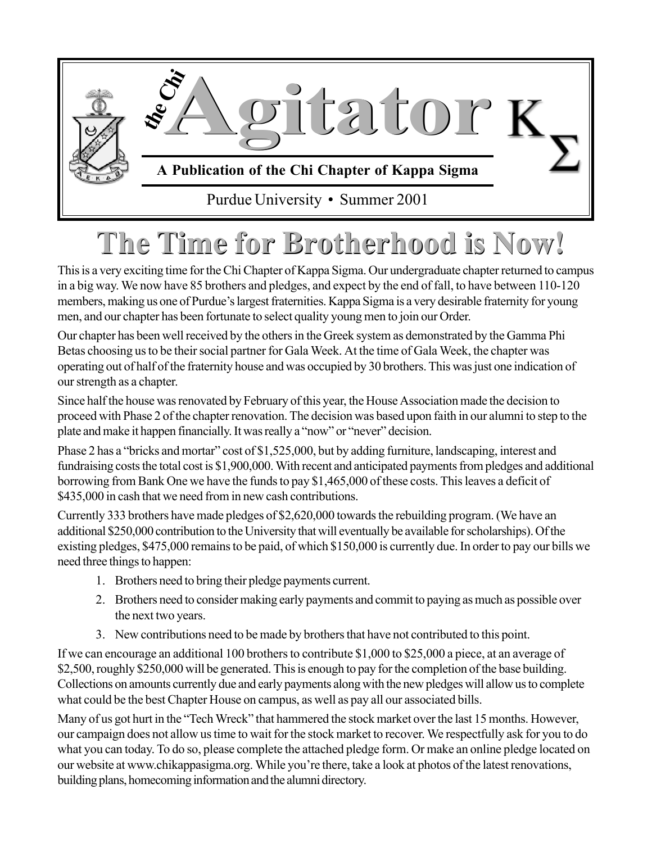

## **The Time for Brotherhood is Now! The Time for Brotherhood is Now!**

This is a very exciting time for the Chi Chapter of Kappa Sigma. Our undergraduate chapter returned to campus in a big way. We now have 85 brothers and pledges, and expect by the end of fall, to have between 110-120 members, making us one of Purdue's largest fraternities. Kappa Sigma is a very desirable fraternity for young men, and our chapter has been fortunate to select quality young men to join our Order.

Our chapter has been well received by the others in the Greek system as demonstrated by the Gamma Phi Betas choosing us to be their social partner for Gala Week. At the time of Gala Week, the chapter was operating out of half of the fraternity house and was occupied by 30 brothers. This was just one indication of our strength as a chapter.

Since half the house was renovated by February of this year, the House Association made the decision to proceed with Phase 2 of the chapter renovation. The decision was based upon faith in our alumni to step to the plate and make it happen financially. It was really a "now" or "never" decision.

Phase 2 has a "bricks and mortar" cost of \$1,525,000, but by adding furniture, landscaping, interest and fundraising costs the total cost is \$1,900,000. With recent and anticipated payments from pledges and additional borrowing from Bank One we have the funds to pay \$1,465,000 of these costs. This leaves a deficit of \$435,000 in cash that we need from in new cash contributions.

Currently 333 brothers have made pledges of \$2,620,000 towards the rebuilding program. (We have an additional \$250,000 contribution to the University that will eventually be available for scholarships). Of the existing pledges, \$475,000 remains to be paid, of which \$150,000 is currently due. In order to pay our bills we need three things to happen:

- 1. Brothers need to bring their pledge payments current.
- 2. Brothers need to consider making early payments and commit to paying as much as possible over the next two years.
- 3. New contributions need to be made by brothers that have not contributed to this point.

If we can encourage an additional 100 brothers to contribute \$1,000 to \$25,000 a piece, at an average of \$2,500, roughly \$250,000 will be generated. This is enough to pay for the completion of the base building. Collections on amounts currently due and early payments along with the new pledges will allow us to complete what could be the best Chapter House on campus, as well as pay all our associated bills.

Many of us got hurt in the "Tech Wreck" that hammered the stock market over the last 15 months. However, our campaign does not allow us time to wait for the stock market to recover. We respectfully ask for you to do what you can today. To do so, please complete the attached pledge form. Or make an online pledge located on our website at www.chikappasigma.org. While you're there, take a look at photos of the latest renovations, building plans, homecoming information and the alumni directory.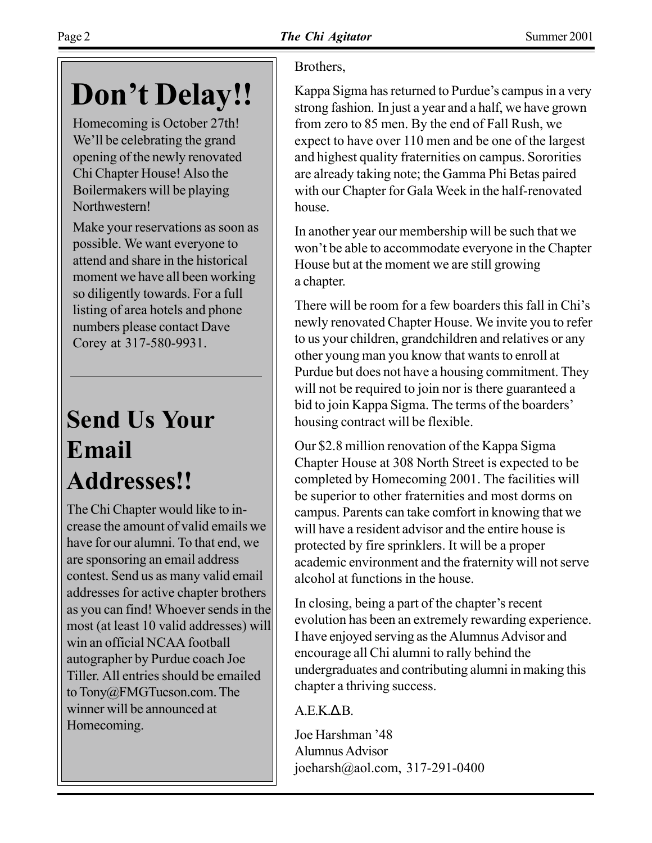## Don't Delay!!

Homecoming is October 27th! We'll be celebrating the grand opening of the newly renovated Chi Chapter House! Also the Boilermakers will be playing Northwestern!

Make your reservations as soon as possible. We want everyone to attend and share in the historical moment we have all been working so diligently towards. For a full listing of area hotels and phone numbers please contact Dave Corey at 317-580-9931.

### **Send Us Your Email Addresses!!**

The Chi Chapter would like to increase the amount of valid emails we have for our alumni. To that end, we are sponsoring an email address contest. Send us as many valid email addresses for active chapter brothers as you can find! Whoever sends in the most (at least 10 valid addresses) will win an official NCAA football autographer by Purdue coach Joe Tiller. All entries should be emailed to Tony@FMGTucson.com. The winner will be announced at Homecoming.

### Brothers,

Kappa Sigma has returned to Purdue's campus in a very strong fashion. In just a year and a half, we have grown from zero to 85 men. By the end of Fall Rush, we expect to have over 110 men and be one of the largest and highest quality fraternities on campus. Sororities are already taking note; the Gamma Phi Betas paired with our Chapter for Gala Week in the half-renovated house.

In another year our membership will be such that we won't be able to accommodate everyone in the Chapter House but at the moment we are still growing a chapter.

There will be room for a few boarders this fall in Chi's newly renovated Chapter House. We invite you to refer to us your children, grandchildren and relatives or any other young man you know that wants to enroll at Purdue but does not have a housing commitment. They will not be required to join nor is there guaranteed a bid to join Kappa Sigma. The terms of the boarders' housing contract will be flexible.

Our \$2.8 million renovation of the Kappa Sigma Chapter House at 308 North Street is expected to be completed by Homecoming 2001. The facilities will be superior to other fraternities and most dorms on campus. Parents can take comfort in knowing that we will have a resident advisor and the entire house is protected by fire sprinklers. It will be a proper academic environment and the fraternity will not serve alcohol at functions in the house.

In closing, being a part of the chapter's recent evolution has been an extremely rewarding experience. I have enjoyed serving as the Alumnus Advisor and encourage all Chi alumni to rally behind the undergraduates and contributing alumni in making this chapter a thriving success.

 $A.E.K. \Delta B.$ 

Joe Harshman '48 Alumnus Advisor joeharsh@aol.com, 317-291-0400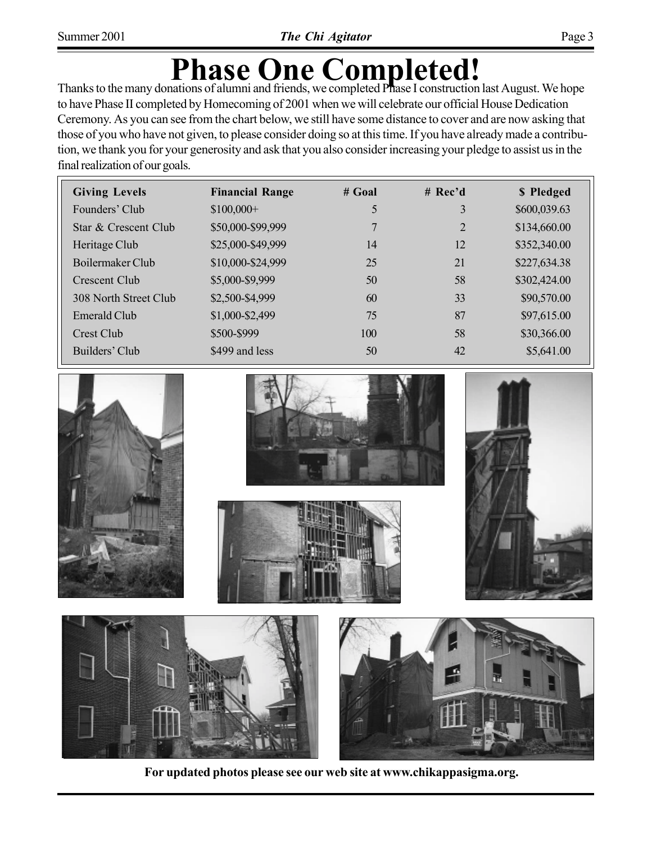# **Phase One Completed!**<br>Thanks to the many donations of alumni and friends, we completed Phase I construction last August. We hope

to have Phase II completed by Homecoming of 2001 when we will celebrate our official House Dedication Ceremony. As you can see from the chart below, we still have some distance to cover and are now asking that those of you who have not given, to please consider doing so at this time. If you have already made a contribution, we thank you for your generosity and ask that you also consider increasing your pledge to assist us in the final realization of our goals.

| <b>Giving Levels</b>  | <b>Financial Range</b> | $#$ Goal | # $Rec'd$ | \$ Pledged   |
|-----------------------|------------------------|----------|-----------|--------------|
| Founders' Club        | $$100,000+$            | 5        | 3         | \$600,039.63 |
| Star & Crescent Club  | \$50,000-\$99,999      |          | 2         | \$134,660.00 |
| Heritage Club         | \$25,000-\$49,999      | 14       | 12        | \$352,340.00 |
| Boilermaker Club      | \$10,000-\$24,999      | 25       | 21        | \$227,634.38 |
| Crescent Club         | \$5,000-\$9,999        | 50       | 58        | \$302,424.00 |
| 308 North Street Club | \$2,500-\$4,999        | 60       | 33        | \$90,570.00  |
| Emerald Club          | \$1,000-\$2,499        | 75       | 87        | \$97,615.00  |
| Crest Club            | \$500-\$999            | 100      | 58        | \$30,366.00  |
| Builders' Club        | \$499 and less         | 50       | 42        | \$5,641.00   |
|                       |                        |          |           |              |









**For updated photos please see our web site at www.chikappasigma.org.**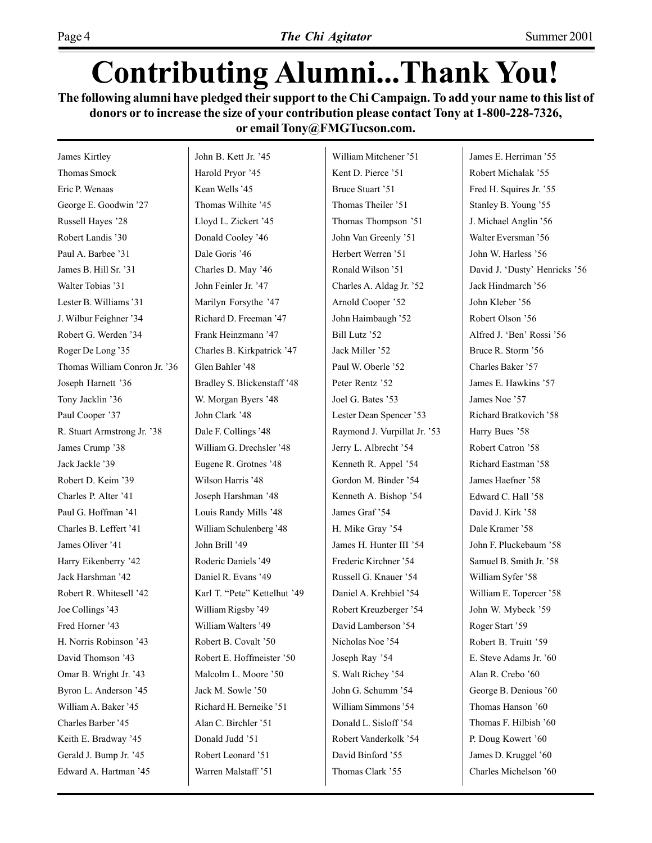### **Contributing Alumni...Thank You!**

**The following alumni have pledged their support to the Chi Campaign. To add your name to this list of donors or to increase the size of your contribution please contact Tony at 1-800-228-7326, or email Tony@FMGTucson.com.**

James Kirtley Thomas Smock Eric P. Wenaas George E. Goodwin '27 Russell Hayes '28 Robert Landis '30 Paul A. Barbee '31 James B. Hill Sr. '31 Walter Tobias '31 Lester B. Williams '31 J. Wilbur Feighner '34 Robert G. Werden '34 Roger De Long '35 Thomas William Conron Jr. '36 Joseph Harnett '36 Tony Jacklin '36 Paul Cooper '37 R. Stuart Armstrong Jr. '38 James Crump '38 Jack Jackle '39 Robert D. Keim '39 Charles P. Alter '41 Paul G. Hoffman '41 Charles B. Leffert '41 James Oliver '41 Harry Eikenberry '42 Jack Harshman '42 Robert R. Whitesell '42 Joe Collings '43 Fred Horner '43 H. Norris Robinson '43 David Thomson '43 Omar B. Wright Jr. '43 Byron L. Anderson '45 William A. Baker '45 Charles Barber '45 Keith E. Bradway '45 Gerald J. Bump Jr. '45 Edward A. Hartman '45

John B. Kett Jr. '45 Harold Prvor '45 Kean Wells '45 Thomas Wilhite '45 Lloyd L. Zickert '45 Donald Cooley '46 Dale Goris '46 Charles D. May '46 John Feinler Jr. '47 Marilyn Forsythe '47 Richard D. Freeman '47 Frank Heinzmann '47 Charles B. Kirkpatrick '47 Glen Bahler '48 Bradley S. Blickenstaff '48 W. Morgan Byers '48 John Clark '48 Dale F. Collings '48 William G. Drechsler '48 Eugene R. Grotnes '48 Wilson Harris '48 Joseph Harshman '48 Louis Randy Mills '48 William Schulenberg '48 John Brill '49 Roderic Daniels '49 Daniel R. Evans '49 Karl T. "Pete" Kettelhut '49 William Rigsby '49 William Walters '49 Robert B. Covalt '50 Robert E. Hoffmeister '50 Malcolm L. Moore '50 Jack M. Sowle '50 Richard H. Berneike '51 Alan C. Birchler '51 Donald Judd '51 Robert Leonard '51 Warren Malstaff '51

William Mitchener '51 Kent D. Pierce '51 Bruce Stuart '51 Thomas Theiler '51 Thomas Thompson '51 John Van Greenly '51 Herbert Werren '51 Ronald Wilson '51 Charles A. Aldag Jr. '52 Arnold Cooper '52 John Haimbaugh '52 Bill Lutz '52 Jack Miller '52 Paul W. Oberle '52 Peter Rentz '52 Joel G. Bates '53 Lester Dean Spencer '53 Raymond J. Vurpillat Jr. '53 Jerry L. Albrecht '54 Kenneth R. Appel '54 Gordon M. Binder '54 Kenneth A. Bishop '54 James Graf '54 H. Mike Gray '54 James H. Hunter III '54 Frederic Kirchner '54 Russell G. Knauer '54 Daniel A. Krehbiel '54 Robert Kreuzberger '54 David Lamberson '54 Nicholas Noe '54 Joseph Ray '54 S. Walt Richey '54 John G. Schumm '54 William Simmons '54 Donald L. Sisloff<sup>354</sup> Robert Vanderkolk '54 David Binford '55 Thomas Clark '55

James E. Herriman '55 Robert Michalak '55 Fred H. Squires Jr. '55 Stanley B. Young '55 J. Michael Anglin '56 Walter Eversman '56 John W. Harless '56 David J. 'Dusty' Henricks '56 Jack Hindmarch '56 John Kleber '56 Robert Olson '56 Alfred J. 'Ben' Rossi '56 Bruce R. Storm '56 Charles Baker '57 James E. Hawkins '57 James Noe '57 Richard Bratkovich '58 Harry Bues '58 Robert Catron '58 Richard Eastman '58 James Haefner '58 Edward C. Hall '58 David J. Kirk '58 Dale Kramer '58 John F. Pluckebaum '58 Samuel B. Smith Jr. '58 William Syfer '58 William E. Topercer '58 John W. Mybeck '59 Roger Start '59 Robert B. Truitt '59 E. Steve Adams Jr. '60 Alan R. Crebo '60 George B. Denious '60 Thomas Hanson '60 Thomas F. Hilbish '60 P. Doug Kowert '60 James D. Kruggel '60 Charles Michelson '60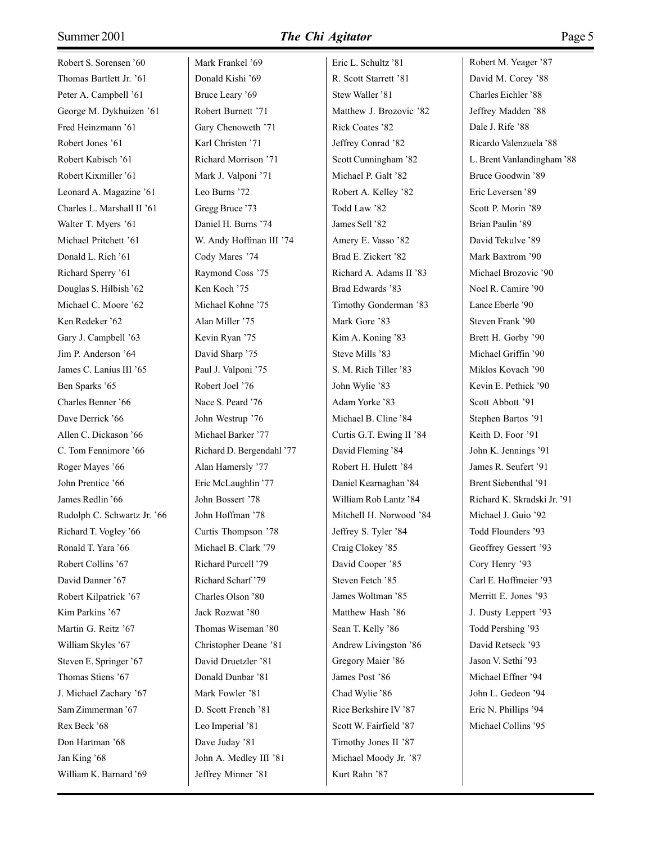### Summer 2001 *The Chi Agitator* Page 5

Robert S. Sorensen '60 Thomas Bartlett Jr. '61 Peter A. Campbell '61 George M. Dykhuizen '61 Fred Heinzmann '61 Robert Jones '61 Robert Kabisch '61 Robert Kixmiller '61 Leonard A. Magazine '61 Charles L. Marshall II '61 Walter T. Myers '61 Michael Pritchett '61 Donald L. Rich '61 Richard Sperry '61 Douglas S. Hilbish '62 Michael C. Moore '62 Ken Redeker '62 Gary J. Campbell '63 Jim P. Anderson '64 James C. Lanius III '65 Ben Sparks '65 Charles Benner '66 Dave Derrick '66 Allen C. Dickason '66 C. Tom Fennimore '66 Roger Mayes '66 John Prentice '66 James Redlin '66 Rudolph C. Schwartz Jr. '66 Richard T. Vogley '66 Ronald T. Yara '66 Robert Collins '67 David Danner '67 Robert Kilpatrick '67 Kim Parkins '67 Martin G. Reitz '67 William Skyles '67 Steven E. Springer '67 Thomas Stiens '67 J. Michael Zachary '67 Sam Zimmerman '67 Rex Beck '68 Don Hartman '68 Jan King '68 William K. Barnard '69

Mark Frankel '69 Donald Kishi '69 Bruce Leary '69 Robert Burnett '71 Gary Chenoweth '71 Karl Christen '71 Richard Morrison '71 Mark J. Valponi '71 Leo Burns '72 Gregg Bruce '73 Daniel H. Burns '74 W. Andy Hoffman III '74 Cody Mares '74 Raymond Coss '75 Ken Koch '75 Michael Kohne '75 Alan Miller '75 Kevin Ryan '75 David Sharp '75 Paul J. Valponi '75 Robert Joel '76 Nace S. Peard '76 John Westrup '76 Michael Barker '77 Richard D. Bergendahl '77 Alan Hamersly '77 Eric McLaughlin '77 John Bossert '78 John Hoffman '78 Curtis Thompson '78 Michael B. Clark '79 Richard Purcell '79 Richard Scharf'79 Charles Olson '80 Jack Rozwat '80 Thomas Wiseman '80 Christopher Deane '81 David Druetzler '81 Donald Dunbar '81 Mark Fowler '81 D. Scott French '81 Leo Imperial '81 Dave Juday '81 John A. Medley III '81 Jeffrey Minner '81

Eric L. Schultz '81 R. Scott Starrett '81 Stew Waller '81 Matthew J. Brozovic '82 Rick Coates '82 Jeffrey Conrad '82 Scott Cunningham '82 Michael P. Galt '82 Robert A. Kelley '82 Todd Law '82 James Sell '82 Amery E. Vasso '82 Brad E. Zickert '82 Richard A. Adams II '83 Brad Edwards '83 Timothy Gonderman '83 Mark Gore '83 Kim A. Koning '83 Steve Mills '83 S. M. Rich Tiller '83 John Wylie '83 Adam Yorke '83 Michael B. Cline '84 Curtis G.T. Ewing II '84 David Fleming '84 Robert H. Hulett '84 Daniel Kearnaghan '84 William Rob Lantz '84 Mitchell H. Norwood '84 Jeffrey S. Tyler '84 Craig Clokey '85 David Cooper '85 Steven Fetch '85 James Woltman '85 Matthew Hash '86 Sean T. Kelly '86 Andrew Livingston '86 Gregory Maier '86 James Post '86 Chad Wylie '86 Rice Berkshire IV '87 Scott W. Fairfield '87 Timothy Jones II '87 Michael Moody Jr. '87 Kurt Rahn '87

Robert M. Yeager '87 David M. Corey '88 Charles Eichler '88 Jeffrey Madden '88 Dale J. Rife '88 Ricardo Valenzuela '88 L. Brent Vanlandingham '88 Bruce Goodwin '89 Eric Leversen '89 Scott P. Morin '89 Brian Paulin '89 David Tekulve '89 Mark Baxtrom '90 Michael Brozovic '90 Noel R. Camire '90 Lance Eberle '90 Steven Frank '90 Brett H. Gorby '90 Michael Griffin '90 Miklos Kovach '90 Kevin E. Pethick '90 Scott Abbott '91 Stephen Bartos '91 Keith D. Foor '91 John K. Jennings '91 James R. Seufert '91 Brent Siebenthal '91 Richard K. Skradski Jr. '91 Michael J. Guio '92 Todd Flounders '93 Geoffrey Gessert '93 Cory Henry '93 Carl E. Hoffmeier '93 Merritt E. Jones '93 J. Dusty Leppert '93 Todd Pershing '93 David Retseck '93 Jason V. Sethi '93 Michael Effner '94 John L. Gedeon '94 Eric N. Phillips '94 Michael Collins '95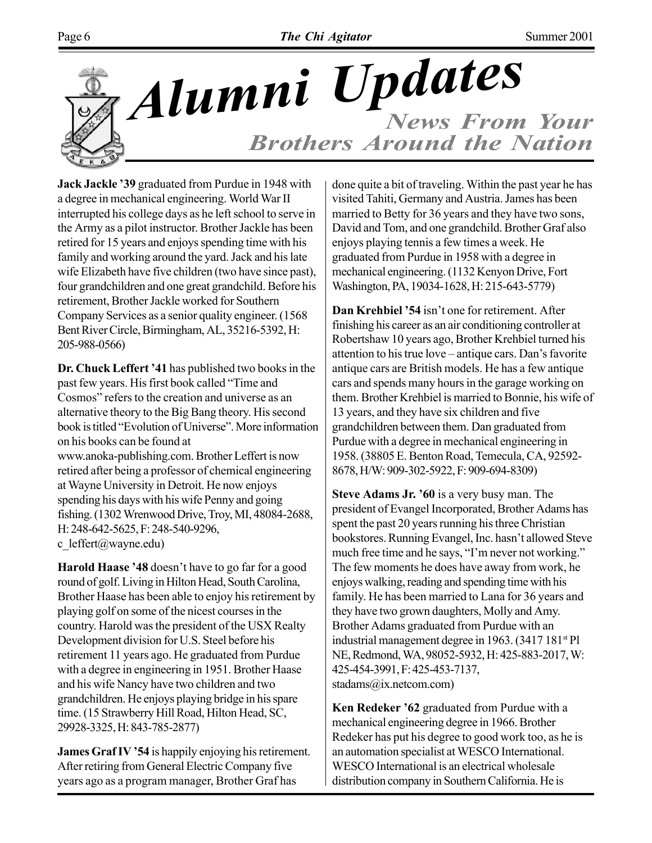

### *News From Your Brothers Around the Nation Alumni Updates*

**Jack Jackle '39** graduated from Purdue in 1948 with a degree in mechanical engineering. World War II interrupted his college days as he left school to serve in the Army as a pilot instructor. Brother Jackle has been retired for 15 years and enjoys spending time with his family and working around the yard. Jack and his late wife Elizabeth have five children (two have since past), four grandchildren and one great grandchild. Before his retirement, Brother Jackle worked for Southern Company Services as a senior quality engineer. (1568 Bent River Circle, Birmingham, AL, 35216-5392, H: 205-988-0566)

**Dr. Chuck Leffert '41** has published two books in the past few years. His first book called "Time and Cosmos" refers to the creation and universe as an alternative theory to the Big Bang theory. His second book is titled "Evolution of Universe". More information on his books can be found at www.anoka-publishing.com. Brother Leffert is now retired after being a professor of chemical engineering at Wayne University in Detroit. He now enjoys spending his days with his wife Penny and going fishing. (1302 Wrenwood Drive, Troy, MI, 48084-2688, H: 248-642-5625, F: 248-540-9296, c\_leffert@wayne.edu)

**Harold Haase '48** doesn't have to go far for a good round of golf. Living in Hilton Head, South Carolina, Brother Haase has been able to enjoy his retirement by playing golf on some of the nicest courses in the country. Harold was the president of the USX Realty Development division for U.S. Steel before his retirement 11 years ago. He graduated from Purdue with a degree in engineering in 1951. Brother Haase and his wife Nancy have two children and two grandchildren. He enjoys playing bridge in his spare time. (15 Strawberry Hill Road, Hilton Head, SC, 29928-3325, H: 843-785-2877)

**James Graf IV '54** is happily enjoying his retirement. After retiring from General Electric Company five years ago as a program manager, Brother Graf has

done quite a bit of traveling. Within the past year he has visited Tahiti, Germany and Austria. James has been married to Betty for 36 years and they have two sons, David and Tom, and one grandchild. Brother Graf also enjoys playing tennis a few times a week. He graduated from Purdue in 1958 with a degree in mechanical engineering. (1132 Kenyon Drive, Fort Washington, PA, 19034-1628, H: 215-643-5779)

Dan Krehbiel '54 isn't one for retirement. After finishing his career as an air conditioning controller at Robertshaw 10 years ago, Brother Krehbiel turned his attention to his true love – antique cars. Dan's favorite antique cars are British models. He has a few antique cars and spends many hours in the garage working on them. Brother Krehbiel is married to Bonnie, his wife of 13 years, and they have six children and five grandchildren between them. Dan graduated from Purdue with a degree in mechanical engineering in 1958. (38805 E. Benton Road, Temecula, CA, 92592- 8678, H/W: 909-302-5922, F: 909-694-8309)

**Steve Adams Jr. '60** is a very busy man. The president of Evangel Incorporated, Brother Adams has spent the past 20 years running his three Christian bookstores. Running Evangel, Inc. hasn't allowed Steve much free time and he says, "I'm never not working." The few moments he does have away from work, he enjoys walking, reading and spending time with his family. He has been married to Lana for 36 years and they have two grown daughters, Molly and Amy. Brother Adams graduated from Purdue with an industrial management degree in 1963. (3417 181st Pl NE, Redmond, WA, 98052-5932, H: 425-883-2017, W: 425-454-3991, F: 425-453-7137, stadams@ix.netcom.com)

**Ken Redeker '62** graduated from Purdue with a mechanical engineering degree in 1966. Brother Redeker has put his degree to good work too, as he is an automation specialist at WESCO International. WESCO International is an electrical wholesale distribution company in Southern California. He is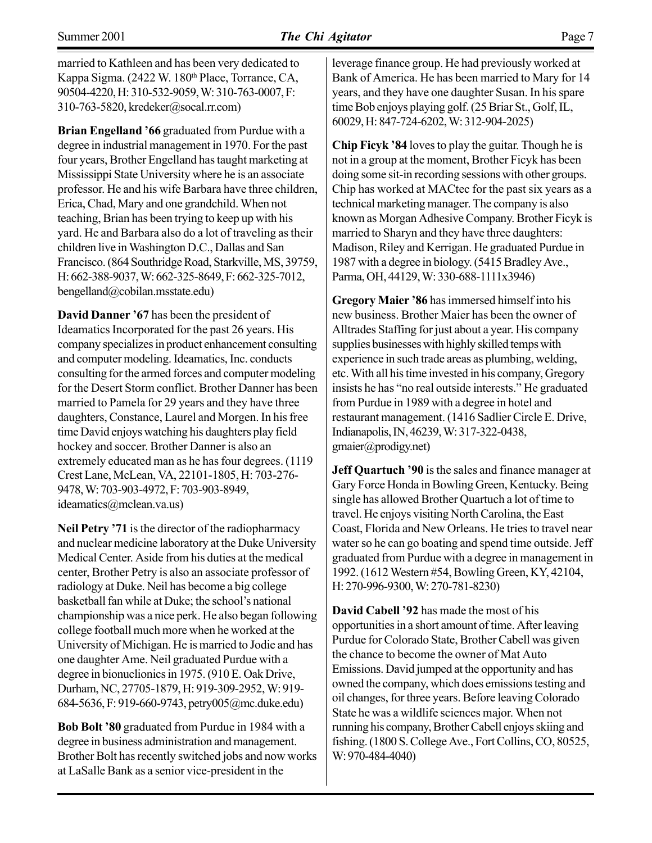married to Kathleen and has been very dedicated to Kappa Sigma. (2422 W. 180th Place, Torrance, CA, 90504-4220, H: 310-532-9059, W: 310-763-0007, F: 310-763-5820, kredeker@socal.rr.com)

**Brian Engelland '66** graduated from Purdue with a degree in industrial management in 1970. For the past four years, Brother Engelland has taught marketing at Mississippi State University where he is an associate professor. He and his wife Barbara have three children, Erica, Chad, Mary and one grandchild. When not teaching, Brian has been trying to keep up with his yard. He and Barbara also do a lot of traveling as their children live in Washington D.C., Dallas and San Francisco. (864 Southridge Road, Starkville, MS, 39759, H: 662-388-9037, W: 662-325-8649, F: 662-325-7012, bengelland@cobilan.msstate.edu)

**David Danner í67** has been the president of Ideamatics Incorporated for the past 26 years. His company specializes in product enhancement consulting and computer modeling. Ideamatics, Inc. conducts consulting for the armed forces and computer modeling for the Desert Storm conflict. Brother Danner has been married to Pamela for 29 years and they have three daughters, Constance, Laurel and Morgen. In his free time David enjoys watching his daughters play field hockey and soccer. Brother Danner is also an extremely educated man as he has four degrees. (1119 Crest Lane, McLean, VA, 22101-1805, H: 703-276- 9478, W: 703-903-4972, F: 703-903-8949, ideamatics@mclean.va.us)

**Neil Petry '71** is the director of the radiopharmacy and nuclear medicine laboratory at the Duke University Medical Center. Aside from his duties at the medical center, Brother Petry is also an associate professor of radiology at Duke. Neil has become a big college basketball fan while at Duke; the school's national championship was a nice perk. He also began following college football much more when he worked at the University of Michigan. He is married to Jodie and has one daughter Ame. Neil graduated Purdue with a degree in bionuclionics in 1975. (910 E. Oak Drive, Durham, NC, 27705-1879, H: 919-309-2952, W: 919- 684-5636, F: 919-660-9743, petry005@mc.duke.edu)

**Bob Bolt '80** graduated from Purdue in 1984 with a degree in business administration and management. Brother Bolt has recently switched jobs and now works at LaSalle Bank as a senior vice-president in the

leverage finance group. He had previously worked at Bank of America. He has been married to Mary for 14 years, and they have one daughter Susan. In his spare time Bob enjoys playing golf. (25 Briar St., Golf, IL, 60029, H: 847-724-6202, W: 312-904-2025)

**Chip Ficyk '84** loves to play the guitar. Though he is not in a group at the moment, Brother Ficyk has been doing some sit-in recording sessions with other groups. Chip has worked at MACtec for the past six years as a technical marketing manager. The company is also known as Morgan Adhesive Company. Brother Ficyk is married to Sharyn and they have three daughters: Madison, Riley and Kerrigan. He graduated Purdue in 1987 with a degree in biology. (5415 Bradley Ave., Parma, OH, 44129, W: 330-688-1111x3946)

**Gregory Maier '86 has immersed himself into his** new business. Brother Maier has been the owner of Alltrades Staffing for just about a year. His company supplies businesses with highly skilled temps with experience in such trade areas as plumbing, welding, etc. With all his time invested in his company, Gregory insists he has "no real outside interests." He graduated from Purdue in 1989 with a degree in hotel and restaurant management. (1416 Sadlier Circle E. Drive, Indianapolis, IN, 46239, W: 317-322-0438, gmaier@prodigy.net)

**Jeff Quartuch '90** is the sales and finance manager at Gary Force Honda in Bowling Green, Kentucky. Being single has allowed Brother Quartuch a lot of time to travel. He enjoys visiting North Carolina, the East Coast, Florida and New Orleans. He tries to travel near water so he can go boating and spend time outside. Jeff graduated from Purdue with a degree in management in 1992. (1612 Western #54, Bowling Green, KY, 42104, H: 270-996-9300, W: 270-781-8230)

**David Cabell '92** has made the most of his opportunities in a short amount of time. After leaving Purdue for Colorado State, Brother Cabell was given the chance to become the owner of Mat Auto Emissions. David jumped at the opportunity and has owned the company, which does emissions testing and oil changes, for three years. Before leaving Colorado State he was a wildlife sciences major. When not running his company, Brother Cabell enjoys skiing and fishing. (1800 S. College Ave., Fort Collins, CO, 80525, W: 970-484-4040)